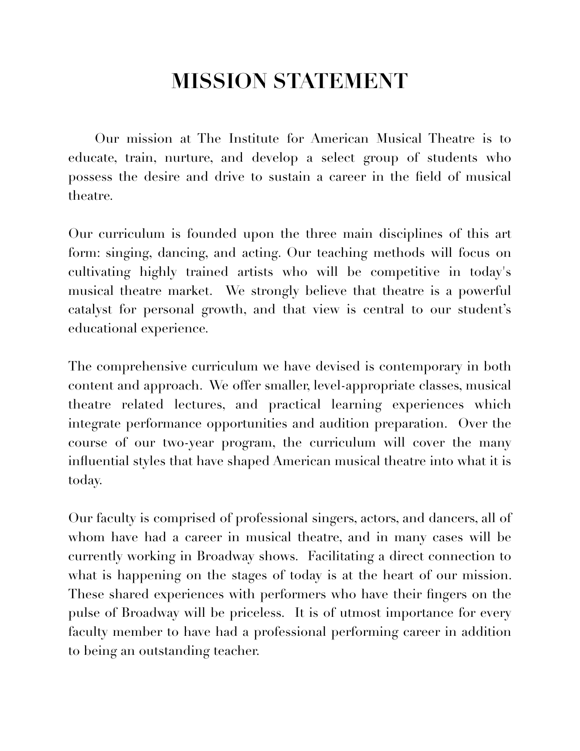## **MISSION STATEMENT**

Our mission at The Institute for American Musical Theatre is to educate, train, nurture, and develop a select group of students who possess the desire and drive to sustain a career in the field of musical theatre.

Our curriculum is founded upon the three main disciplines of this art form: singing, dancing, and acting. Our teaching methods will focus on cultivating highly trained artists who will be competitive in today's musical theatre market. We strongly believe that theatre is a powerful catalyst for personal growth, and that view is central to our student's educational experience.

The comprehensive curriculum we have devised is contemporary in both content and approach. We offer smaller, level-appropriate classes, musical theatre related lectures, and practical learning experiences which integrate performance opportunities and audition preparation. Over the course of our two-year program, the curriculum will cover the many influential styles that have shaped American musical theatre into what it is today.

Our faculty is comprised of professional singers, actors, and dancers, all of whom have had a career in musical theatre, and in many cases will be currently working in Broadway shows. Facilitating a direct connection to what is happening on the stages of today is at the heart of our mission. These shared experiences with performers who have their fingers on the pulse of Broadway will be priceless. It is of utmost importance for every faculty member to have had a professional performing career in addition to being an outstanding teacher.